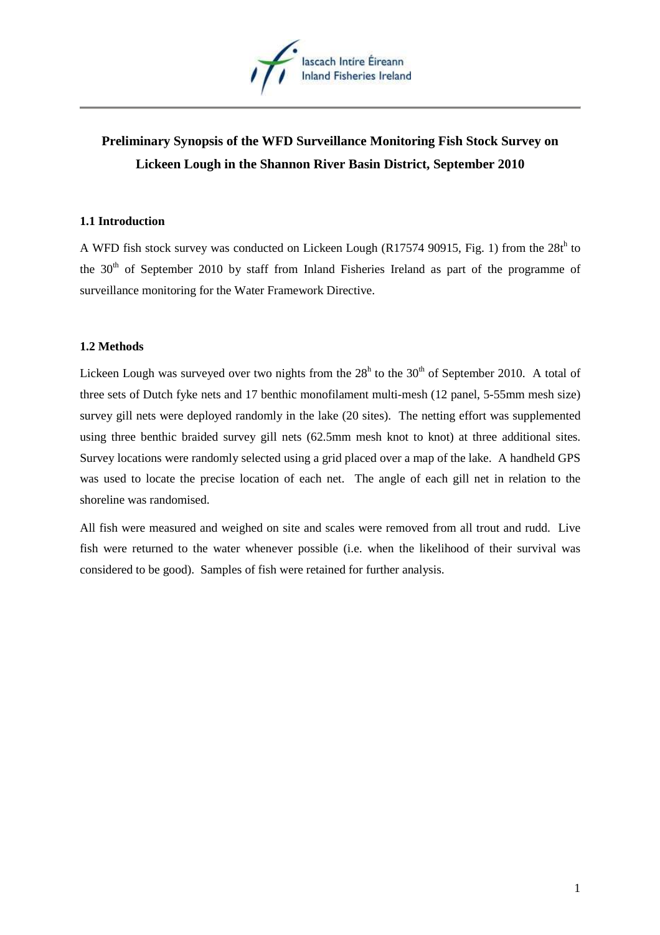

# **Preliminary Synopsis of the WFD Surveillance Monitoring Fish Stock Survey on Lickeen Lough in the Shannon River Basin District, September 2010**

## **1.1 Introduction**

A WFD fish stock survey was conducted on Lickeen Lough (R17574 90915, Fig. 1) from the  $28t<sup>h</sup>$  to the  $30<sup>th</sup>$  of September 2010 by staff from Inland Fisheries Ireland as part of the programme of surveillance monitoring for the Water Framework Directive.

## **1.2 Methods**

Lickeen Lough was surveyed over two nights from the  $28<sup>h</sup>$  to the  $30<sup>th</sup>$  of September 2010. A total of three sets of Dutch fyke nets and 17 benthic monofilament multi-mesh (12 panel, 5-55mm mesh size) survey gill nets were deployed randomly in the lake (20 sites). The netting effort was supplemented using three benthic braided survey gill nets (62.5mm mesh knot to knot) at three additional sites. Survey locations were randomly selected using a grid placed over a map of the lake. A handheld GPS was used to locate the precise location of each net. The angle of each gill net in relation to the shoreline was randomised.

All fish were measured and weighed on site and scales were removed from all trout and rudd. Live fish were returned to the water whenever possible (i.e. when the likelihood of their survival was considered to be good). Samples of fish were retained for further analysis.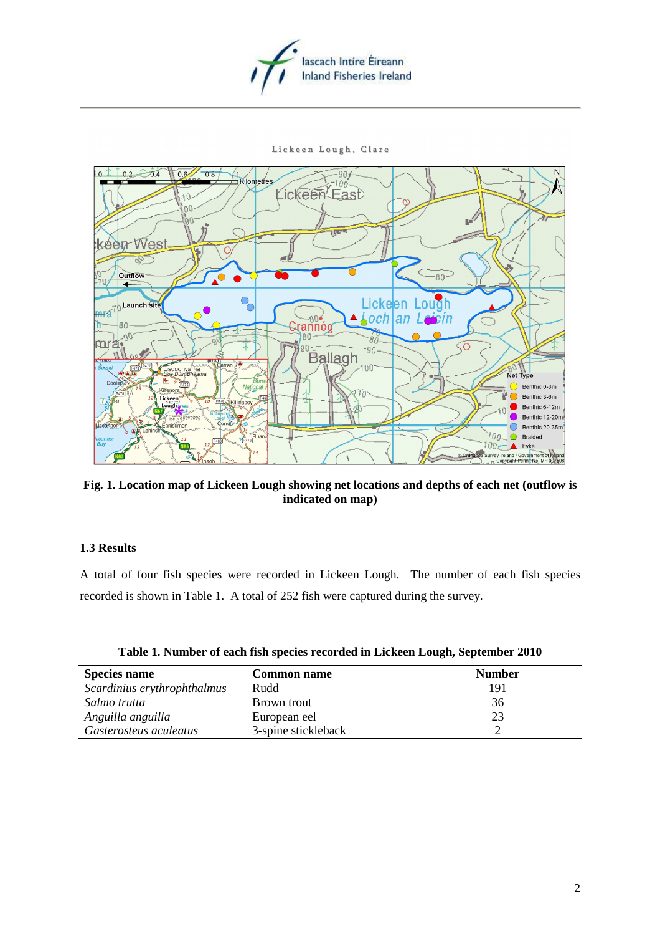

#### Lickeen Lough, Clare



**Fig. 1. Location map of Lickeen Lough showing net locations and depths of each net (outflow is indicated on map)** 

### **1.3 Results**

A total of four fish species were recorded in Lickeen Lough. The number of each fish species recorded is shown in Table 1. A total of 252 fish were captured during the survey.

| <b>Species name</b>         | <b>Common name</b>  | <b>Number</b> |  |  |
|-----------------------------|---------------------|---------------|--|--|
| Scardinius erythrophthalmus | Rudd                | 191           |  |  |
| Salmo trutta                | Brown trout         | 36            |  |  |
| Anguilla anguilla           | European eel        | 23            |  |  |
| Gasterosteus aculeatus      | 3-spine stickleback |               |  |  |

|  |  | Table 1. Number of each fish species recorded in Lickeen Lough, September 2010 |  |  |
|--|--|--------------------------------------------------------------------------------|--|--|
|  |  |                                                                                |  |  |